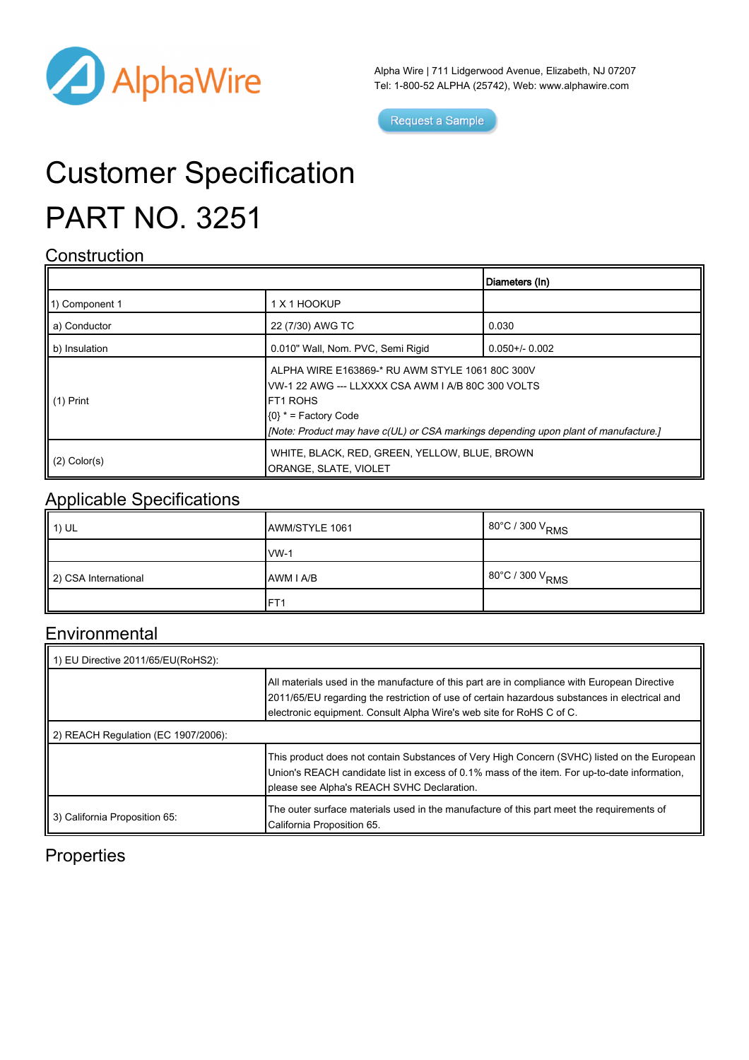

Alpha Wire | 711 Lidgerwood Avenue, Elizabeth, NJ 07207 Tel: 1-800-52 ALPHA (25742), Web: [www.alphawire.com](http://www.alphawire.com)

Request a Sample

# Customer Specification PART NO. 3251

#### **Construction**

|                       |                                                                                                                                                                                                                                            | Diameters (In)      |
|-----------------------|--------------------------------------------------------------------------------------------------------------------------------------------------------------------------------------------------------------------------------------------|---------------------|
| 11) Component 1       | 1 X 1 HOOKUP                                                                                                                                                                                                                               |                     |
| a) Conductor          | 22 (7/30) AWG TC                                                                                                                                                                                                                           | 0.030               |
| b) Insulation         | 0.010" Wall, Nom. PVC, Semi Rigid                                                                                                                                                                                                          | $0.050 + / - 0.002$ |
| $\parallel$ (1) Print | ALPHA WIRE E163869-* RU AWM STYLE 1061 80C 300V<br>VW-1 22 AWG --- LLXXXX CSA AWM I A/B 80C 300 VOLTS<br><b>IFT1 ROHS</b><br>$(0)$ * = Factory Code<br>[Mote: Product may have c(UL) or CSA markings depending upon plant of manufacture.] |                     |
| $(2)$ Color(s)        | WHITE, BLACK, RED, GREEN, YELLOW, BLUE, BROWN<br>ORANGE, SLATE, VIOLET                                                                                                                                                                     |                     |

#### Applicable Specifications

| $\parallel$ 1) UL    | AWM/STYLE 1061  | 80°C / 300 V <sub>RMS</sub>           |
|----------------------|-----------------|---------------------------------------|
|                      | $vw-1$          |                                       |
| 2) CSA International | AWM I A/B       | $80^{\circ}$ C / 300 V <sub>RMS</sub> |
|                      | FT <sub>1</sub> |                                       |

### **Environmental**

| 1) EU Directive 2011/65/EU(RoHS2):  |                                                                                                                                                                                                                                                                       |  |  |
|-------------------------------------|-----------------------------------------------------------------------------------------------------------------------------------------------------------------------------------------------------------------------------------------------------------------------|--|--|
|                                     | All materials used in the manufacture of this part are in compliance with European Directive<br>2011/65/EU regarding the restriction of use of certain hazardous substances in electrical and<br>electronic equipment. Consult Alpha Wire's web site for RoHS C of C. |  |  |
| 2) REACH Regulation (EC 1907/2006): |                                                                                                                                                                                                                                                                       |  |  |
|                                     | This product does not contain Substances of Very High Concern (SVHC) listed on the European<br>Union's REACH candidate list in excess of 0.1% mass of the item. For up-to-date information,<br>please see Alpha's REACH SVHC Declaration.                             |  |  |
| 3) California Proposition 65:       | The outer surface materials used in the manufacture of this part meet the requirements of<br>California Proposition 65.                                                                                                                                               |  |  |

### **Properties**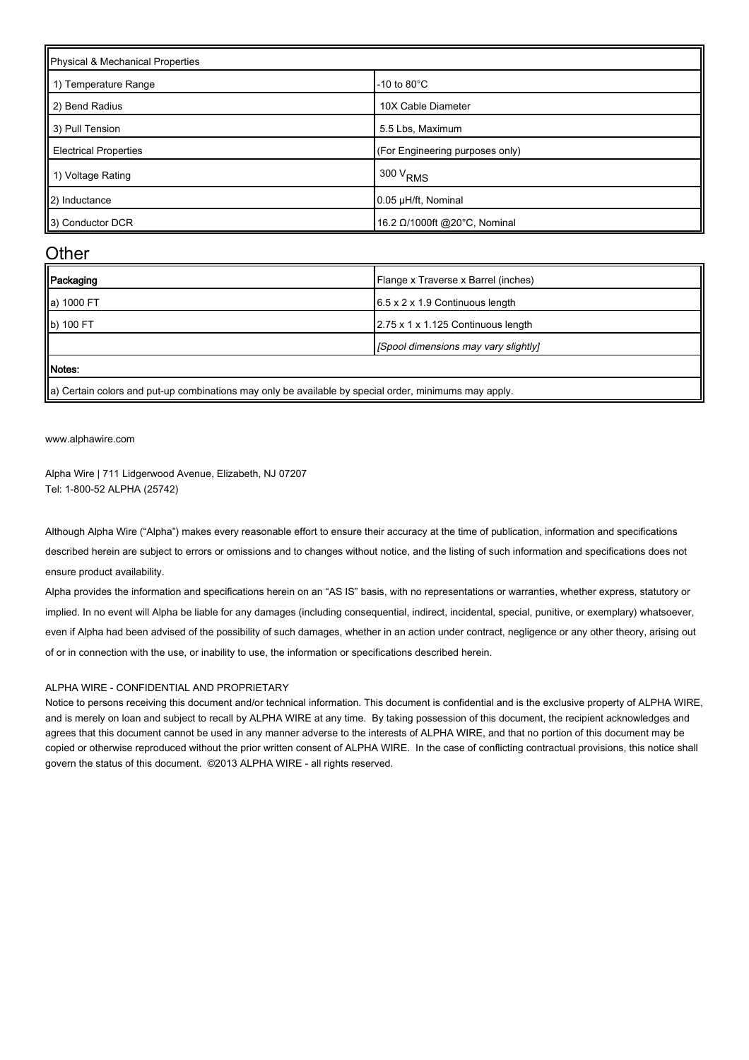| Physical & Mechanical Properties |                                 |  |
|----------------------------------|---------------------------------|--|
| 1) Temperature Range             | $-10$ to $80^{\circ}$ C         |  |
| 2) Bend Radius                   | 10X Cable Diameter              |  |
| 3) Pull Tension                  | 5.5 Lbs, Maximum                |  |
| <b>Electrical Properties</b>     | (For Engineering purposes only) |  |
| 1) Voltage Rating                | 300 V <sub>RMS</sub>            |  |
| 2) Inductance                    | 0.05 µH/ft, Nominal             |  |
| 3) Conductor DCR                 | 16.2 Ω/1000ft @20°C, Nominal    |  |

#### **Other**

| Packaging  | Flange x Traverse x Barrel (inches)         |
|------------|---------------------------------------------|
| a) 1000 FT | $6.5 \times 2 \times 1.9$ Continuous length |
| b) 100 FT  | 2.75 x 1 x 1.125 Continuous length          |
|            | [Spool dimensions may vary slightly]        |
| Motes:     |                                             |

 $\parallel$ a) Certain colors and put-up combinations may only be available by special order, minimums may apply.

[www.alphawire.com](http://www.alphawire.com)

Alpha Wire | 711 Lidgerwood Avenue, Elizabeth, NJ 07207 Tel: 1-800-52 ALPHA (25742)

Although Alpha Wire ("Alpha") makes every reasonable effort to ensure their accuracy at the time of publication, information and specifications described herein are subject to errors or omissions and to changes without notice, and the listing of such information and specifications does not ensure product availability.

Alpha provides the information and specifications herein on an "AS IS" basis, with no representations or warranties, whether express, statutory or implied. In no event will Alpha be liable for any damages (including consequential, indirect, incidental, special, punitive, or exemplary) whatsoever, even if Alpha had been advised of the possibility of such damages, whether in an action under contract, negligence or any other theory, arising out of or in connection with the use, or inability to use, the information or specifications described herein.

#### ALPHA WIRE - CONFIDENTIAL AND PROPRIETARY

Notice to persons receiving this document and/or technical information. This document is confidential and is the exclusive property of ALPHA WIRE, and is merely on loan and subject to recall by ALPHA WIRE at any time. By taking possession of this document, the recipient acknowledges and agrees that this document cannot be used in any manner adverse to the interests of ALPHA WIRE, and that no portion of this document may be copied or otherwise reproduced without the prior written consent of ALPHA WIRE. In the case of conflicting contractual provisions, this notice shall govern the status of this document. ©2013 ALPHA WIRE - all rights reserved.